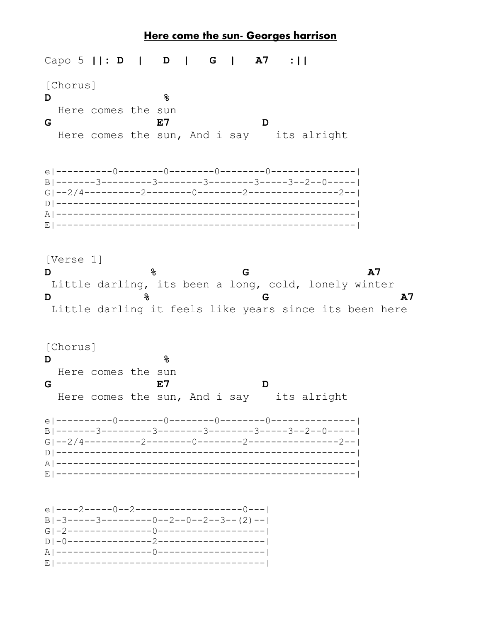## <u>Here come the sun- Georges harrison</u>

Capo 5  $||: D ||$  $A7$ D  $\mathbf{I}$ G  $\mathbf{I}$  $: \mathsf{L}$ [Chorus] D ℅ Here comes the sun E7  $\mathbf D$ G Here comes the sun, And i say its alright  $G1--2/4------2---2------0------2------2------------2---1---2---1$ [Verse 1]  $\mathbf D$ g G  $A7$ Little darling, its been a long, cold, lonely winter D ℅ G  $A7$ Little darling it feels like years since its been here [Chorus]  $\mathbf D$ ዱ Here comes the sun E7 G D Here comes the sun, And i say its alright el----2-----0--2--------------------0---|  $B|-3---3---------0---2---0---2---3---(2)---1$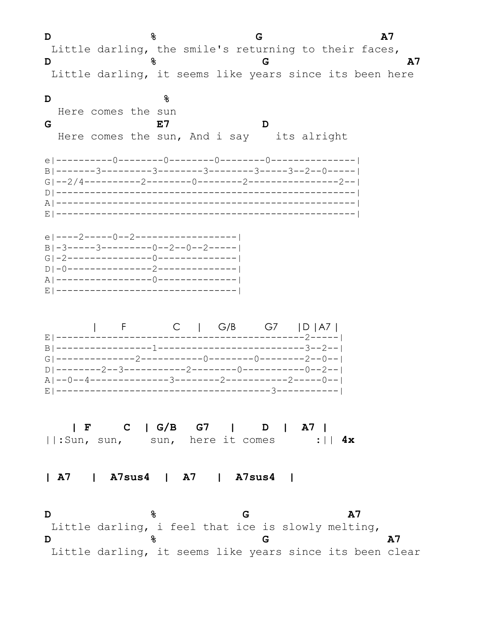**D**  $\frac{6}{5}$  **G**  $\frac{1}{2}$  Little darling, the smile's returning to their faces, **D**  $\frac{8}{6}$  **G**  $\frac{12}{3}$  Little darling, it seems like years since its been here **D %** Here comes the sun **G E7 D** Here comes the sun, And i say its alright e|----------0--------0--------0--------0---------------| B|-------3---------3--------3--------3-----3--2--0-----| G|--2/4----------2--------0--------2----------------2--| D|-----------------------------------------------------| A|-----------------------------------------------------| E|-----------------------------------------------------| e|----2-----0--2------------------| B|-3-----3---------0--2--0--2-----| G|-2---------------0--------------| D|-0---------------2--------------| A|-----------------0--------------| E|--------------------------------| | F C | G/B G7 |D |A7 | E|--------------------------------------------2-----| B|-----------------1--------------------------3--2--| G|--------------2-----------0--------0--------2--0--| D|--------2--3-----------2--------0-----------0--2--| A|--0--4--------------3--------2-----------2-----0--| E|--------------------------------------3-----------|  **| F C | G/B G7 | D | A7 |** ||:Sun, sun, sun, here it comes :|| **4x | A7 | A7sus4 | A7 | A7sus4 | D**  $\frac{6}{6}$  **G**  $\frac{1}{6}$  **A7**  Little darling, i feel that ice is slowly melting, **D**  $\frac{6}{6}$  **G A7** Little darling, it seems like years since its been clear